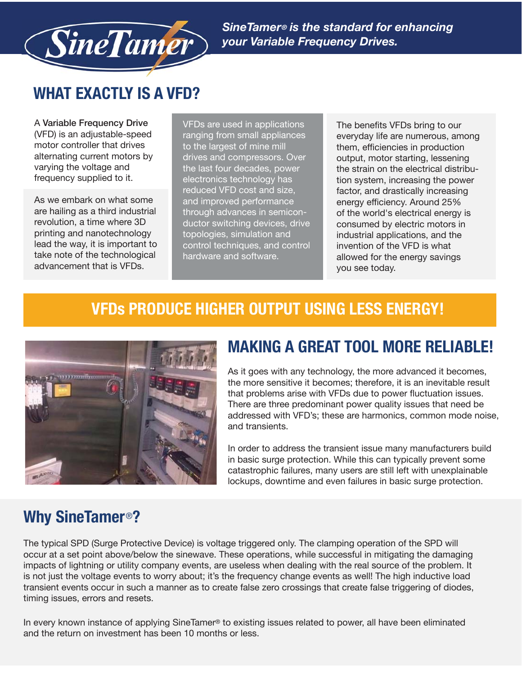

*SineTamer® is the standard for enhancing your Variable Frequency Drives.*

# **WHAT EXACTLY IS A VFD?**

A **Variable Frequency Drive** (VFD) is an adjustable-speed motor controller that drives alternating current motors by varying the voltage and frequency supplied to it.

As we embark on what some are hailing as a third industrial revolution, a time where 3D printing and nanotechnology lead the way, it is important to take note of the technological advancement that is VFDs.

VFDs are used in applications ranging from small appliances to the largest of mine mill drives and compressors. Over the last four decades, power electronics technology has reduced VFD cost and size, and improved performance through advances in semiconductor switching devices, drive topologies, simulation and control techniques, and control hardware and software.

The benefits VFDs bring to our everyday life are numerous, among them, efficiencies in production output, motor starting, lessening the strain on the electrical distribution system, increasing the power factor, and drastically increasing energy efficiency. Around 25% of the world's electrical energy is consumed by electric motors in industrial applications, and the invention of the VFD is what allowed for the energy savings you see today.

#### **VFDs PRODUCE HIGHER OUTPUT USING LESS ENERGY!**



### **MAKING A GREAT TOOL MORE RELIABLE!**

As it goes with any technology, the more advanced it becomes, the more sensitive it becomes; therefore, it is an inevitable result that problems arise with VFDs due to power fluctuation issues. There are three predominant power quality issues that need be addressed with VFD's; these are harmonics, common mode noise, and transients.

In order to address the transient issue many manufacturers build in basic surge protection. While this can typically prevent some catastrophic failures, many users are still left with unexplainable lockups, downtime and even failures in basic surge protection.

## **Why SineTamer**®**?**

The typical SPD (Surge Protective Device) is voltage triggered only. The clamping operation of the SPD will occur at a set point above/below the sinewave. These operations, while successful in mitigating the damaging impacts of lightning or utility company events, are useless when dealing with the real source of the problem. It is not just the voltage events to worry about; it's the frequency change events as well! The high inductive load transient events occur in such a manner as to create false zero crossings that create false triggering of diodes, timing issues, errors and resets.

In every known instance of applying SineTamer® to existing issues related to power, all have been eliminated and the return on investment has been 10 months or less.